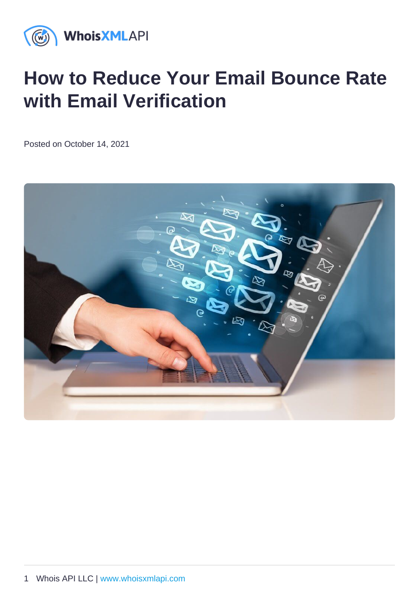# How to Reduce Your Email Bounce Rate with Email Verification

Posted on October 14, 2021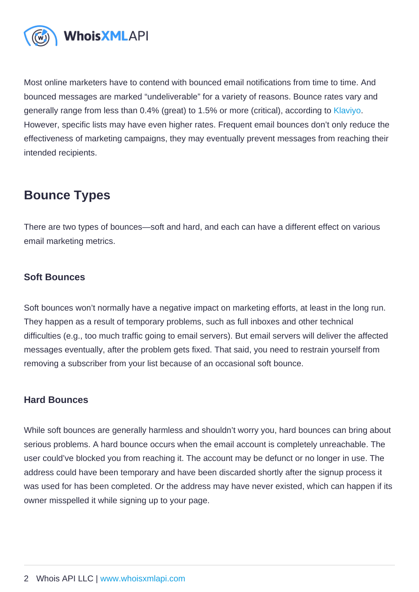Most online marketers have to contend with bounced email notifications from time to time. And bounced messages are marked "undeliverable" for a variety of reasons. Bounce rates vary and generally range from less than 0.4% (great) to 1.5% or more (critical), according to [Klaviyo.](https://help.klaviyo.com/hc/en-us/articles/115000201131-How-to-Monitor-Email-Deliverability-Performance) However, specific lists may have even higher rates. Frequent email bounces don't only reduce the effectiveness of marketing campaigns, they may eventually prevent messages from reaching their intended recipients.

## Bounce Types

There are two types of bounces—soft and hard, and each can have a different effect on various email marketing metrics.

#### Soft Bounces

Soft bounces won't normally have a negative impact on marketing efforts, at least in the long run. They happen as a result of temporary problems, such as full inboxes and other technical difficulties (e.g., too much traffic going to email servers). But email servers will deliver the affected messages eventually, after the problem gets fixed. That said, you need to restrain yourself from removing a subscriber from your list because of an occasional soft bounce.

#### Hard Bounces

While soft bounces are generally harmless and shouldn't worry you, hard bounces can bring about serious problems. A hard bounce occurs when the email account is completely unreachable. The user could've blocked you from reaching it. The account may be defunct or no longer in use. The address could have been temporary and have been discarded shortly after the signup process it was used for has been completed. Or the address may have never existed, which can happen if its owner misspelled it while signing up to your page.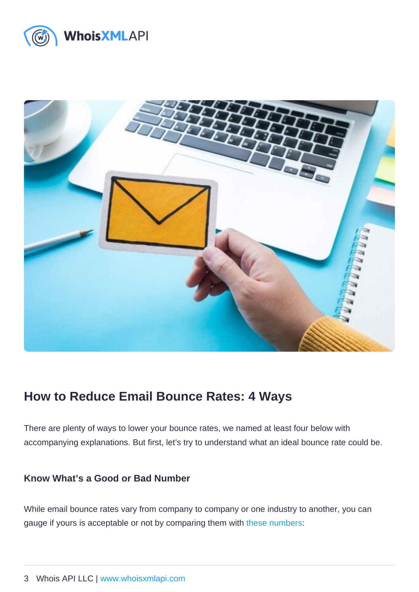## How to Reduce Email Bounce Rates : 4 Ways

There are plenty of ways to lower your bounce rates, we named at least four below with accompanying explanations. But first, let's try to understand what an ideal bounce rate could be.

Know What's a Good or Bad Number

While email bounce rates vary from company to company or one industry to another, you can gauge if yours is acceptable or not by comparing them with [these numbers:](https://help.klaviyo.com/hc/en-us/articles/115000201131-How-to-Monitor-Email-Deliverability-Performance)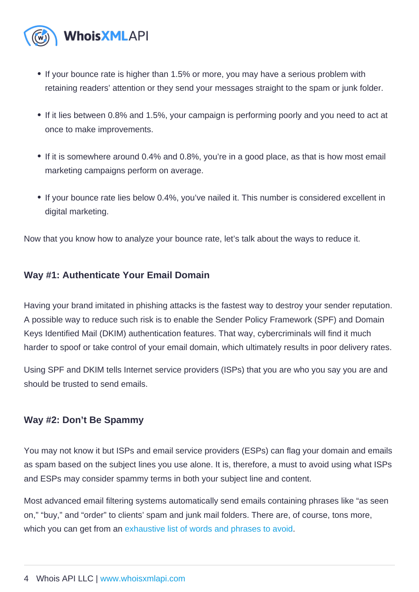- If your bounce rate is higher than 1.5% or more, you may have a serious problem with retaining readers' attention or they send your messages straight to the spam or junk folder.
- If it lies between 0.8% and 1.5%, your campaign is performing poorly and you need to act at once to make improvements.
- If it is somewhere around 0.4% and 0.8%, you're in a good place, as that is how most email marketing campaigns perform on average.
- If your bounce rate lies below 0.4%, you've nailed it. This number is considered excellent in digital marketing.

Now that you know how to analyze your bounce rate, let's talk about the ways to reduce it.

#### Way #1: Authenticate Your Email Domain

Having your brand imitated in phishing attacks is the fastest way to destroy your sender reputation. A possible way to reduce such risk is to enable the Sender Policy Framework (SPF) and Domain Keys Identified Mail (DKIM) authentication features. That way, cybercriminals will find it much harder to spoof or take control of your email domain, which ultimately results in poor delivery rates.

Using SPF and DKIM tells Internet service providers (ISPs) that you are who you say you are and should be trusted to send emails.

#### Way #2: Don't Be Spammy

You may not know it but ISPs and email service providers (ESPs) can flag your domain and emails as spam based on the subject lines you use alone. It is, therefore, a must to avoid using what ISPs and ESPs may consider spammy terms in both your subject line and content.

Most advanced email filtering systems automatically send emails containing phrases like "as seen on," "buy," and "order" to clients' spam and junk mail folders. There are, of course, tons more, which you can get from an [exhaustive list of words and phrases to avoid](https://blog.hubspot.com/blog/tabid/6307/bid/30684/the-ultimate-list-of-email-spam-trigger-words.aspx).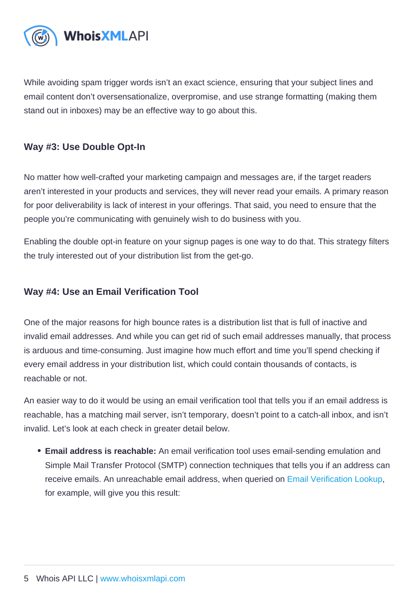While avoiding spam trigger words isn't an exact science, ensuring that your subject lines and email content don't oversensationalize, overpromise, and use strange formatting (making them stand out in inboxes) may be an effective way to go about this.

#### Way #3: Use Double Opt-In

No matter how well-crafted your marketing campaign and messages are, if the target readers aren't interested in your products and services, they will never read your emails. A primary reason for poor deliverability is lack of interest in your offerings. That said, you need to ensure that the people you're communicating with genuinely wish to do business with you.

Enabling the double opt-in feature on your signup pages is one way to do that. This strategy filters the truly interested out of your distribution list from the get-go.

#### Way #4: Use an Email Verification Tool

One of the major reasons for high bounce rates is a distribution list that is full of inactive and invalid email addresses. And while you can get rid of such email addresses manually, that process is arduous and time-consuming. Just imagine how much effort and time you'll spend checking if every email address in your distribution list, which could contain thousands of contacts, is reachable or not.

An easier way to do it would be using an email verification tool that tells you if an email address is reachable, has a matching mail server, isn't temporary, doesn't point to a catch-all inbox, and isn't invalid. Let's look at each check in greater detail below.

Email address is reachable: An email verification tool uses email-sending emulation and Simple Mail Transfer Protocol (SMTP) connection techniques that tells you if an address can receive emails. An unreachable email address, when queried on [Email Verification Lookup,](https://emailverification.whoisxmlapi.com/lookup) for example, will give you this result: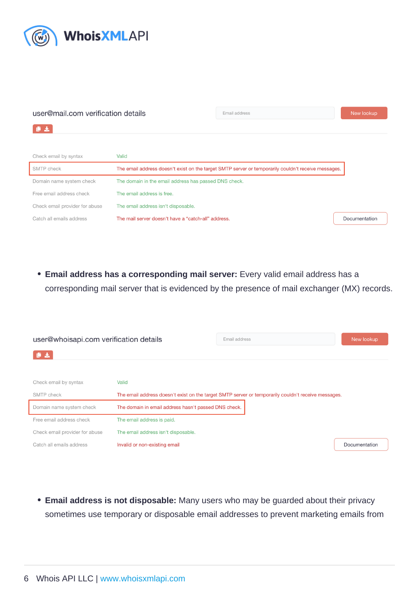Email address has a corresponding mail server: Every valid email address has a corresponding mail server that is evidenced by the presence of mail exchanger (MX) records.

Email address is not disposable: Many users who may be guarded about their privacy sometimes use temporary or disposable email addresses to prevent marketing emails from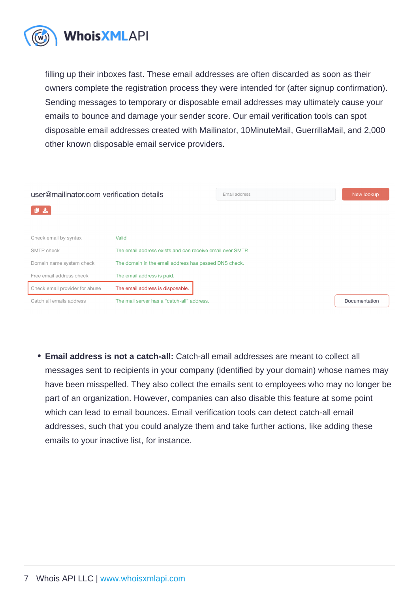filling up their inboxes fast. These email addresses are often discarded as soon as their owners complete the registration process they were intended for (after signup confirmation). Sending messages to temporary or disposable email addresses may ultimately cause your emails to bounce and damage your sender score. Our email verification tools can spot disposable email addresses created with Mailinator, 10MinuteMail, GuerrillaMail, and 2,000 other known disposable email service providers.

• Email address is not a catch-all: Catch-all email addresses are meant to collect all messages sent to recipients in your company (identified by your domain) whose names may have been misspelled. They also collect the emails sent to employees who may no longer be part of an organization. However, companies can also disable this feature at some point which can lead to email bounces. Email verification tools can detect catch-all email addresses, such that you could analyze them and take further actions, like adding these emails to your inactive list, for instance.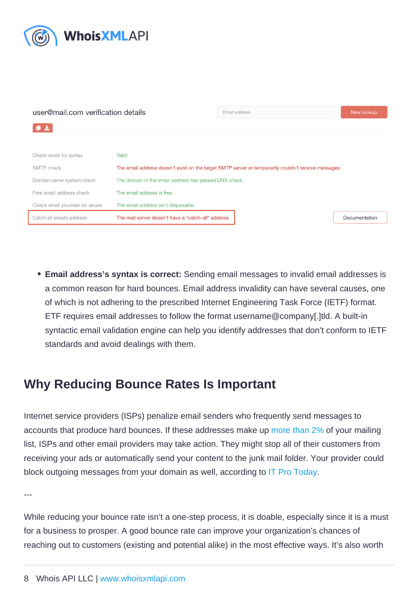Email address's syntax is correct: Sending email messages to invalid email addresses is a common reason for hard bounces. Email address invalidity can have several causes, one of which is not adhering to the prescribed Internet Engineering Task Force (IETF) format. ETF requires email addresses to follow the format username@company[.]tld. A built-in syntactic email validation engine can help you identify addresses that don't conform to IETF standards and avoid dealings with them.

### Why Reducing Bounce Rates Is Important

Internet service providers (ISPs) penalize email senders who frequently send messages to accounts that produce hard bounces. If these addresses make up [more than 2%](https://blog.hubspot.com/marketing/difference-between-hard-soft-bounces-ht) of your mailing list, ISPs and other email providers may take action. They might stop all of their customers from receiving your ads or automatically send your content to the junk mail folder. Your provider could block outgoing messages from your domain as well, according to [IT Pro Today.](https://www.itprotoday.com/business-resources/why-do-so-many-emails-go-undelivered)

---

While reducing your bounce rate isn't a one-step process, it is doable, especially since it is a must for a business to prosper. A good bounce rate can improve your organization's chances of reaching out to customers (existing and potential alike) in the most effective ways. It's also worth